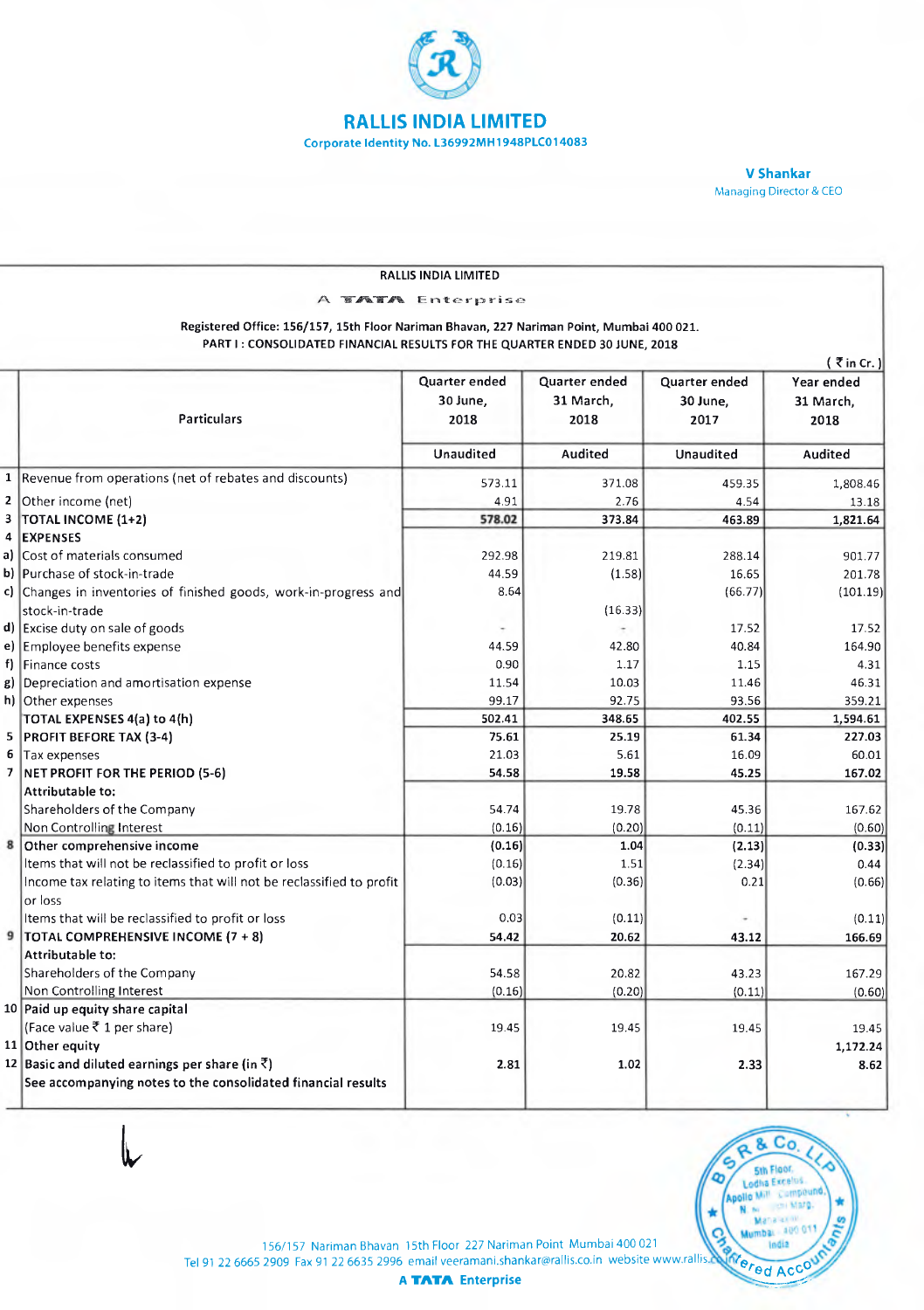

**V Shenker**  Managing Director & CEO

| RALLIS INDIA LIMITED<br><b>TATA</b> Enterprise<br>Registered Office: 156/157, 15th Floor Nariman Bhavan, 227 Nariman Point, Mumbai 400 021.<br>PART I: CONSOLIDATED FINANCIAL RESULTS FOR THE QUARTER ENDED 30 JUNE, 2018 |                                                                      |                                   |                                    |                                   |                                 |
|---------------------------------------------------------------------------------------------------------------------------------------------------------------------------------------------------------------------------|----------------------------------------------------------------------|-----------------------------------|------------------------------------|-----------------------------------|---------------------------------|
|                                                                                                                                                                                                                           |                                                                      |                                   |                                    |                                   |                                 |
|                                                                                                                                                                                                                           | Particulars                                                          | Quarter ended<br>30 June,<br>2018 | Quarter ended<br>31 March,<br>2018 | Quarter ended<br>30 June,<br>2017 | Year ended<br>31 March,<br>2018 |
|                                                                                                                                                                                                                           |                                                                      | Unaudited                         | Audited                            | Unaudited                         | Audited                         |
| $\mathbf 1$                                                                                                                                                                                                               | Revenue from operations (net of rebates and discounts)               | 573.11                            | 371.08                             | 459.35                            | 1,808.46                        |
| $\mathbf{z}$                                                                                                                                                                                                              | Other income (net)                                                   | 4.91                              | 2.76                               | 4.54                              | 13.18                           |
| 3                                                                                                                                                                                                                         | TOTAL INCOME (1+2)                                                   | 578.02                            | 373.84                             | 463.89                            | 1,821.64                        |
| 4                                                                                                                                                                                                                         | <b>EXPENSES</b>                                                      |                                   |                                    |                                   |                                 |
| a)                                                                                                                                                                                                                        | Cost of materials consumed                                           | 292.98                            | 219.81                             | 288.14                            | 901.77                          |
|                                                                                                                                                                                                                           | b) Purchase of stock-in-trade                                        | 44.59                             | (1.58)                             | 16.65                             | 201.78                          |
|                                                                                                                                                                                                                           | c) Changes in inventories of finished goods, work-in-progress and    | 8.64                              |                                    | (66.77)                           | (101.19)                        |
|                                                                                                                                                                                                                           | stock-in-trade                                                       |                                   | (16.33)                            |                                   |                                 |
| d)                                                                                                                                                                                                                        | Excise duty on sale of goods                                         |                                   |                                    | 17.52                             | 17.52                           |
| e)                                                                                                                                                                                                                        | Employee benefits expense                                            | 44.59                             | 42.80                              | 40.84                             | 164.90                          |
| f)                                                                                                                                                                                                                        | Finance costs                                                        | 0.90                              | 1.17                               | 1.15                              | 4.31                            |
| g)                                                                                                                                                                                                                        | Depreciation and amortisation expense                                | 11.54                             | 10.03                              | 11.46                             | 46.31                           |
|                                                                                                                                                                                                                           | h) Other expenses                                                    | 99.17                             | 92.75                              | 93.56                             | 359.21                          |
|                                                                                                                                                                                                                           | TOTAL EXPENSES 4(a) to 4(h)                                          | 502.41                            | 348.65                             | 402.55                            | 1,594.61                        |
| 5                                                                                                                                                                                                                         | <b>PROFIT BEFORE TAX (3-4)</b>                                       | 75.61                             | 25.19                              | 61.34                             | 227.03                          |
| 6                                                                                                                                                                                                                         | Tax expenses                                                         | 21.03                             | 5.61                               | 16.09                             | 60.01                           |
| $\overline{\phantom{a}}$                                                                                                                                                                                                  | NET PROFIT FOR THE PERIOD (5-6)                                      | 54.58                             | 19.58                              | 45.25                             | 167.02                          |
|                                                                                                                                                                                                                           | Attributable to:                                                     |                                   |                                    |                                   |                                 |
|                                                                                                                                                                                                                           | Shareholders of the Company                                          | 54.74                             | 19.78                              | 45.36                             | 167.62                          |
|                                                                                                                                                                                                                           | Non Controlling Interest                                             | (0.16)                            | (0.20)                             | (0.11)                            | (0.60)                          |
| 8                                                                                                                                                                                                                         | Other comprehensive income                                           | (0.16)                            | 1.04                               | (2.13)                            | (0.33)                          |
|                                                                                                                                                                                                                           | Items that will not be reclassified to profit or loss                | (0.16)                            | 1.51                               | (2.34)                            | 0.44                            |
|                                                                                                                                                                                                                           | Income tax relating to items that will not be reclassified to profit | (0.03)                            | (0.36)                             | 0.21                              | (0.66)                          |
|                                                                                                                                                                                                                           | or loss                                                              |                                   |                                    |                                   |                                 |
|                                                                                                                                                                                                                           | Items that will be reclassified to profit or loss                    | 0.03                              | (0.11)                             |                                   | (0.11)                          |
| 9                                                                                                                                                                                                                         | TOTAL COMPREHENSIVE INCOME (7 + 8)                                   | 54.42                             | 20.62                              | 43.12                             | 166.69                          |
|                                                                                                                                                                                                                           | Attributable to:                                                     |                                   |                                    |                                   |                                 |
|                                                                                                                                                                                                                           | Shareholders of the Company                                          | 54.58                             | 20.82                              | 43.23                             | 167.29                          |
|                                                                                                                                                                                                                           | Non Controlling Interest                                             | (0.16)                            | (0.20)                             | (0.11)                            | (0.60)                          |
|                                                                                                                                                                                                                           | 10 Paid up equity share capital                                      |                                   |                                    |                                   |                                 |
|                                                                                                                                                                                                                           | (Face value ₹ 1 per share)                                           | 19.45                             | 19.45                              | 19.45                             | 19.45                           |
|                                                                                                                                                                                                                           | 11 Other equity                                                      |                                   |                                    |                                   | 1,172.24                        |
|                                                                                                                                                                                                                           | 12 Basic and diluted earnings per share (in $\bar{z}$ )              | 2.81                              | 1.02                               | 2.33                              | 8.62                            |
|                                                                                                                                                                                                                           | See accompanying notes to the consolidated financial results         |                                   |                                    |                                   |                                 |



156/157 Nariman Bhavan 15th Floor 227 Nariman Point Mumbai 400 021 Tel 91 22 6665 2909 Fax 91 22 6635 2996 email veeramani.shankar@rallis.co.in website www.rallis.  $\mathbf{M}(\mathbf{e}_{\mathbf{f},\mathbf{c},\mathbf{d},\mathbf{d}})$